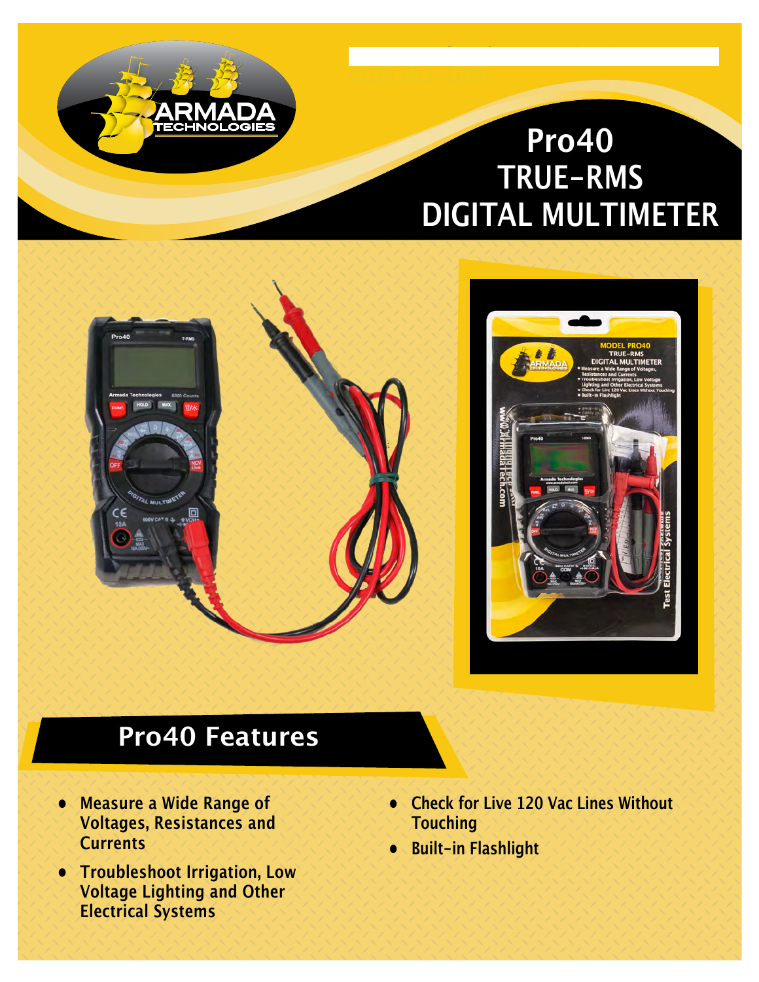# **Pro40 TRUE-RMS DIGITAL MULTIMETER**



## **Pro40 Features**

TECHNOLOGIES

- **• Measure a Wide Range of Voltages, Resistances and Currents**
- **• Troubleshoot Irrigation, Low Voltage Lighting and Other Electrical Systems**
- **• Check for Live 120 Vac Lines Without Touching**
- **• Built-in Flashlight**